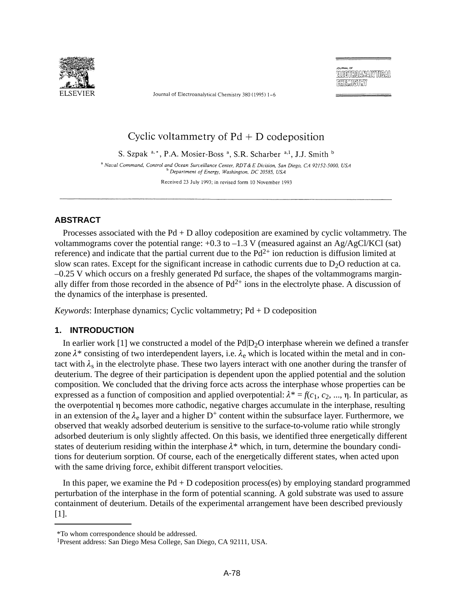

Journal of Electroanalytical Chemistry 380 (1995) 1-6

RMIKMISMENY

# Cyclic voltammetry of  $Pd + D$  codeposition

S. Szpak<sup>a,\*</sup>, P.A. Mosier-Boss<sup>a</sup>, S.R. Scharber<sup>a,1</sup>, J.J. Smith<sup>b</sup>

<sup>a</sup> Naval Command, Control and Ocean Surveillance Center, RDT & E Division, San Diego, CA 92152-5000, USA <sup>b</sup> Department of Energy, Washington, DC 20585, USA

Received 23 July 1993; in revised form 10 November 1993

## **ABSTRACT**

Processes associated with the  $Pd + D$  alloy codeposition are examined by cyclic voltammetry. The voltammograms cover the potential range:  $+0.3$  to  $-1.3$  V (measured against an Ag/AgCl/KCl (sat) reference) and indicate that the partial current due to the  $Pd^{2+}$  ion reduction is diffusion limited at slow scan rates. Except for the significant increase in cathodic currents due to  $D_2O$  reduction at ca. –0.25 V which occurs on a freshly generated Pd surface, the shapes of the voltammograms marginally differ from those recorded in the absence of  $Pd^{2+}$  ions in the electrolyte phase. A discussion of the dynamics of the interphase is presented.

*Keywords*: Interphase dynamics; Cyclic voltammetry; Pd + D codeposition

## **1. INTRODUCTION**

In earlier work [1] we constructed a model of the  $Pd|D_2O$  interphase wherein we defined a transfer zone  $\lambda^*$  consisting of two interdependent layers, i.e.  $\lambda_e$  which is located within the metal and in contact with  $\lambda_s$  in the electrolyte phase. These two layers interact with one another during the transfer of deuterium. The degree of their participation is dependent upon the applied potential and the solution composition. We concluded that the driving force acts across the interphase whose properties can be expressed as a function of composition and applied overpotential:  $\lambda^* = f(c_1, c_2, ..., \eta)$ . In particular, as the overpotential becomes more cathodic, negative charges accumulate in the interphase, resulting in an extension of the  $\lambda_e$  layer and a higher D<sup>+</sup> content within the subsurface layer. Furthermore, we observed that weakly adsorbed deuterium is sensitive to the surface-to-volume ratio while strongly adsorbed deuterium is only slightly affected. On this basis, we identified three energetically different states of deuterium residing within the interphase  $\lambda^*$  which, in turn, determine the boundary conditions for deuterium sorption. Of course, each of the energetically different states, when acted upon with the same driving force, exhibit different transport velocities.

In this paper, we examine the  $Pd + D$  codeposition process(es) by employing standard programmed perturbation of the interphase in the form of potential scanning. A gold substrate was used to assure containment of deuterium. Details of the experimental arrangement have been described previously [1].

<sup>\*</sup>To whom correspondence should be addressed.

<sup>1</sup>Present address: San Diego Mesa College, San Diego, CA 92111, USA.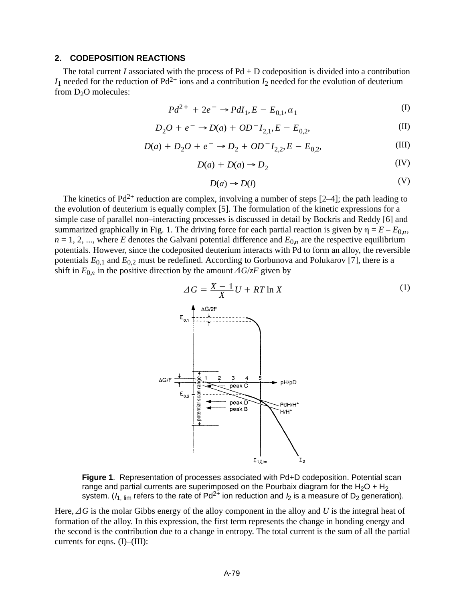### **2. CODEPOSITION REACTIONS**

The total current *I* associated with the process of  $Pd + D$  codeposition is divided into a contribution  $I_1$  needed for the reduction of Pd<sup>2+</sup> ions and a contribution  $I_2$  needed for the evolution of deuterium from  $D_2O$  molecules:

$$
Pd^{2+} + 2e^- \to PdI_1, E - E_{0,1}, \alpha_1
$$
 (I)

$$
D_2O + e^- \to D(a) + OD^- I_{2,1}, E - E_{0,2},
$$
 (II)

$$
D(a) + D_2O + e^- \rightarrow D_2 + OD^- I_{2,2}, E - E_{0,2},
$$
 (III)

$$
D(a) + D(a) \to D_2 \tag{IV}
$$

$$
D(a) \to D(l) \tag{V}
$$

The kinetics of  $Pd^{2+}$  reduction are complex, involving a number of steps [2–4]; the path leading to the evolution of deuterium is equally complex [5]. The formulation of the kinetic expressions for a simple case of parallel non–interacting processes is discussed in detail by Bockris and Reddy [6] and summarized graphically in Fig. 1. The driving force for each partial reaction is given by  $\eta = E - E_{0n}$ ,  $n = 1, 2, \dots$ , where *E* denotes the Galvani potential difference and  $E_{0n}$  are the respective equilibrium potentials. However, since the codeposited deuterium interacts with Pd to form an alloy, the reversible potentials  $E_{0,1}$  and  $E_{0,2}$  must be redefined. According to Gorbunova and Polukarov [7], there is a shift in  $E_{0n}$  in the positive direction by the amount  $\Delta G/\langle zF \rangle$  given by



**Figure 1**. Representation of processes associated with Pd+D codeposition. Potential scan range and partial currents are superimposed on the Pourbaix diagram for the H<sub>2</sub>O + H<sub>2</sub> system. ( $I_{1, \text{lim}}$  refers to the rate of Pd<sup>2+</sup> ion reduction and  $I_2$  is a measure of D<sub>2</sub> generation).

Here,  $\Delta G$  is the molar Gibbs energy of the alloy component in the alloy and U is the integral heat of formation of the alloy. In this expression, the first term represents the change in bonding energy and the second is the contribution due to a change in entropy. The total current is the sum of all the partial currents for eqns. (I)–(III):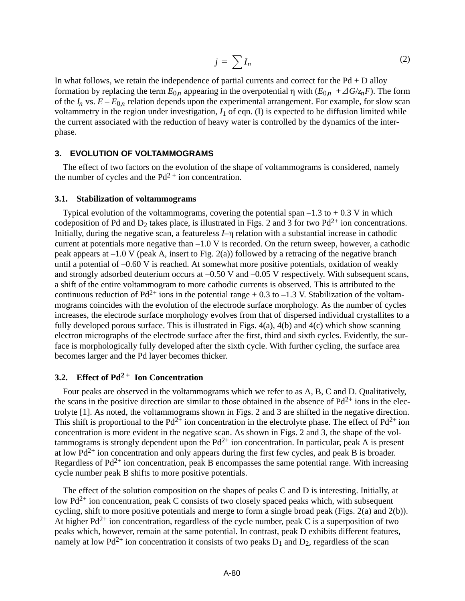$$
j = \sum I_n \tag{2}
$$

In what follows, we retain the independence of partial currents and correct for the  $Pd + D$  alloy formation by replacing the term  $E_{0n}$  appearing in the overpotential  $\eta$  with  $(E_{0n} + \Delta G / z_n F)$ . The form of the  $I_n$  vs.  $E - E_{0n}$  relation depends upon the experimental arrangement. For example, for slow scan voltammetry in the region under investigation,  $I_1$  of eqn. (I) is expected to be diffusion limited while the current associated with the reduction of heavy water is controlled by the dynamics of the interphase.

#### **3. EVOLUTION OF VOLTAMMOGRAMS**

The effect of two factors on the evolution of the shape of voltammograms is considered, namely the number of cycles and the  $Pd^{2+}$  ion concentration.

#### **3.1. Stabilization of voltammograms**

Typical evolution of the voltammograms, covering the potential span  $-1.3$  to  $+0.3$  V in which codeposition of Pd and  $D_2$  takes place, is illustrated in Figs. 2 and 3 for two Pd<sup>2+</sup> ion concentrations. Initially, during the negative scan, a featureless  $I$ – $\eta$  relation with a substantial increase in cathodic current at potentials more negative than  $-1.0$  V is recorded. On the return sweep, however, a cathodic peak appears at  $-1.0$  V (peak A, insert to Fig. 2(a)) followed by a retracing of the negative branch until a potential of –0.60 V is reached. At somewhat more positive potentials, oxidation of weakly and strongly adsorbed deuterium occurs at –0.50 V and –0.05 V respectively. With subsequent scans, a shift of the entire voltammogram to more cathodic currents is observed. This is attributed to the continuous reduction of  $Pd^{2+}$  ions in the potential range + 0.3 to –1.3 V. Stabilization of the voltammograms coincides with the evolution of the electrode surface morphology. As the number of cycles increases, the electrode surface morphology evolves from that of dispersed individual crystallites to a fully developed porous surface. This is illustrated in Figs. 4(a), 4(b) and 4(c) which show scanning electron micrographs of the electrode surface after the first, third and sixth cycles. Evidently, the surface is morphologically fully developed after the sixth cycle. With further cycling, the surface area becomes larger and the Pd layer becomes thicker.

## **3.2. Effect of Pd<sup>2</sup> + Ion Concentration**

Four peaks are observed in the voltammograms which we refer to as A, B, C and D. Qualitatively, the scans in the positive direction are similar to those obtained in the absence of  $Pd^{2+}$  ions in the electrolyte [1]. As noted, the voltammograms shown in Figs. 2 and 3 are shifted in the negative direction. This shift is proportional to the  $Pd^{2+}$  ion concentration in the electrolyte phase. The effect of  $Pd^{2+}$  ion concentration is more evident in the negative scan. As shown in Figs. 2 and 3, the shape of the voltammograms is strongly dependent upon the  $Pd^{2+}$  ion concentration. In particular, peak A is present at low  $Pd^{2+}$  ion concentration and only appears during the first few cycles, and peak B is broader. Regardless of  $Pd^{2+}$  ion concentration, peak B encompasses the same potential range. With increasing cycle number peak B shifts to more positive potentials.

The effect of the solution composition on the shapes of peaks C and D is interesting. Initially, at low  $Pd^{2+}$  ion concentration, peak C consists of two closely spaced peaks which, with subsequent cycling, shift to more positive potentials and merge to form a single broad peak (Figs. 2(a) and 2(b)). At higher  $Pd^{2+}$  ion concentration, regardless of the cycle number, peak C is a superposition of two peaks which, however, remain at the same potential. In contrast, peak D exhibits different features, namely at low Pd<sup>2+</sup> ion concentration it consists of two peaks  $D_1$  and  $D_2$ , regardless of the scan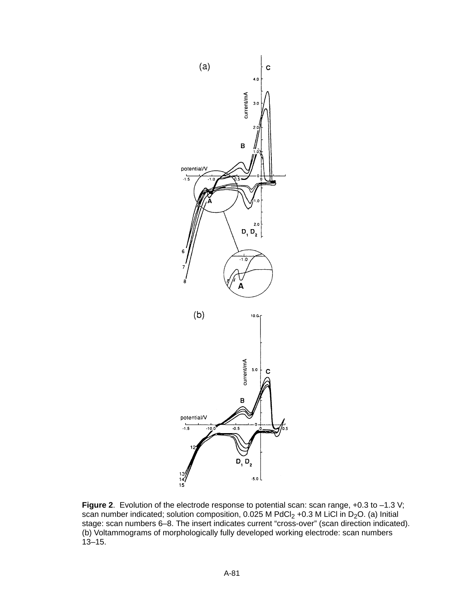

**Figure 2.** Evolution of the electrode response to potential scan: scan range, +0.3 to -1.3 V; scan number indicated; solution composition, 0.025 M PdCl<sub>2</sub> +0.3 M LiCl in D<sub>2</sub>O. (a) Initial stage: scan numbers 6–8. The insert indicates current "cross-over" (scan direction indicated). (b) Voltammograms of morphologically fully developed working electrode: scan numbers 13–15.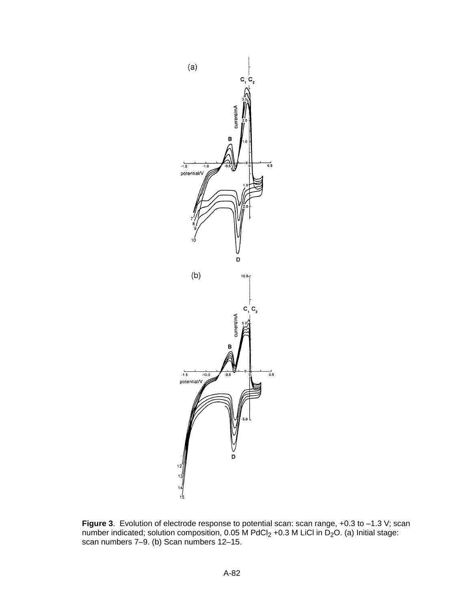

**Figure 3**. Evolution of electrode response to potential scan: scan range, +0.3 to –1.3 V; scan number indicated; solution composition, 0.05 M PdCl<sub>2</sub> +0.3 M LiCl in D<sub>2</sub>O. (a) Initial stage: scan numbers 7–9. (b) Scan numbers 12–15.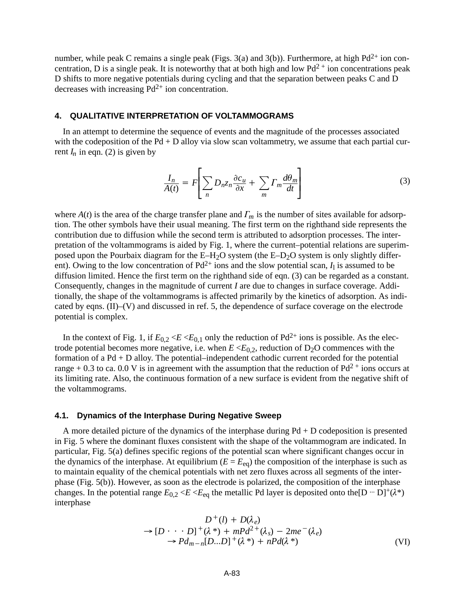number, while peak C remains a single peak (Figs. 3(a) and 3(b)). Furthermore, at high  $Pd^{2+}$  ion concentration, D is a single peak. It is noteworthy that at both high and low  $Pd^{2+}$  ion concentrations peak D shifts to more negative potentials during cycling and that the separation between peaks C and D decreases with increasing  $Pd^{2+}$  ion concentration.

#### **4. QUALITATIVE INTERPRETATION OF VOLTAMMOGRAMS**

In an attempt to determine the sequence of events and the magnitude of the processes associated with the codeposition of the  $Pd + D$  alloy via slow scan voltammetry, we assume that each partial current  $I_n$  in eqn. (2) is given by

$$
\frac{I_n}{A(t)} = F\left[\sum_n D_n z_n \frac{\partial c_u}{\partial x} + \sum_m \Gamma_m \frac{d\theta_m}{dt}\right]
$$
(3)

where  $A(t)$  is the area of the charge transfer plane and  $\Gamma_m$  is the number of sites available for adsorption. The other symbols have their usual meaning. The first term on the righthand side represents the contribution due to diffusion while the second term is attributed to adsorption processes. The interpretation of the voltammograms is aided by Fig. 1, where the current–potential relations are superimposed upon the Pourbaix diagram for the  $E-H<sub>2</sub>O$  system (the  $E-D<sub>2</sub>O$  system is only slightly different). Owing to the low concentration of  $Pd^{2+}$  ions and the slow potential scan,  $I_1$  is assumed to be diffusion limited. Hence the first term on the righthand side of eqn. (3) can be regarded as a constant. Consequently, changes in the magnitude of current *I* are due to changes in surface coverage. Additionally, the shape of the voltammograms is affected primarily by the kinetics of adsorption. As indicated by eqns. (II)–(V) and discussed in ref. 5, the dependence of surface coverage on the electrode potential is complex.

In the context of Fig. 1, if  $E_{0,2} \ll E \ll E_{0,1}$  only the reduction of Pd<sup>2+</sup> ions is possible. As the electrode potential becomes more negative, i.e. when  $E \ll E_{0,2}$ , reduction of  $D_2O$  commences with the formation of a Pd + D alloy. The potential–independent cathodic current recorded for the potential range + 0.3 to ca. 0.0 V is in agreement with the assumption that the reduction of  $Pd^{2+}$  ions occurs at its limiting rate. Also, the continuous formation of a new surface is evident from the negative shift of the voltammograms.

#### **4.1. Dynamics of the Interphase During Negative Sweep**

A more detailed picture of the dynamics of the interphase during  $Pd + D$  codeposition is presented in Fig. 5 where the dominant fluxes consistent with the shape of the voltammogram are indicated. In particular, Fig. 5(a) defines specific regions of the potential scan where significant changes occur in the dynamics of the interphase. At equilibrium  $(E = E_{eq})$  the composition of the interphase is such as to maintain equality of the chemical potentials with net zero fluxes across all segments of the interphase (Fig. 5(b)). However, as soon as the electrode is polarized, the composition of the interphase changes. In the potential range  $E_{0,2} \le E \le E_{eq}$  the metallic Pd layer is deposited onto the [D  $\cdots$  D]<sup>+</sup>( $\lambda^*$ ) interphase

$$
D^{+}(l) + D(\lambda_e)
$$
  
\n
$$
\rightarrow [D \cdots D]^{+}(\lambda^{*}) + mPd^{2+}(\lambda_s) - 2me^{-}(\lambda_e)
$$
  
\n
$$
\rightarrow Pd_{m-n}[D...D]^{+}(\lambda^{*}) + nPd(\lambda^{*})
$$
\n(VI)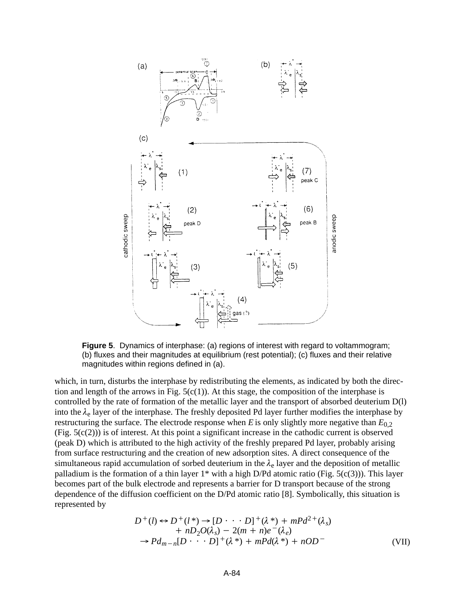

**Figure 5**. Dynamics of interphase: (a) regions of interest with regard to voltammogram; (b) fluxes and their magnitudes at equilibrium (rest potential); (c) fluxes and their relative magnitudes within regions defined in (a).

which, in turn, disturbs the interphase by redistributing the elements, as indicated by both the direction and length of the arrows in Fig.  $5(c(1))$ . At this stage, the composition of the interphase is controlled by the rate of formation of the metallic layer and the transport of absorbed deuterium D(l) into the  $\lambda_e$  layer of the interphase. The freshly deposited Pd layer further modifies the interphase by restructuring the surface. The electrode response when *E* is only slightly more negative than  $E_{0,2}$  $(Fig. 5(c(2)))$  is of interest. At this point a significant increase in the cathodic current is observed (peak D) which is attributed to the high activity of the freshly prepared Pd layer, probably arising from surface restructuring and the creation of new adsorption sites. A direct consequence of the simultaneous rapid accumulation of sorbed deuterium in the  $\lambda_e$  layer and the deposition of metallic palladium is the formation of a thin layer  $1^*$  with a high D/Pd atomic ratio (Fig. 5(c(3))). This layer becomes part of the bulk electrode and represents a barrier for D transport because of the strong dependence of the diffusion coefficient on the D/Pd atomic ratio [8]. Symbolically, this situation is represented by

$$
D^+(l) \leftrightarrow D^+(l^*) \to [D \cdots D]^+(\lambda^*) + mPd^{2+}(\lambda_s)
$$
  
+  $nD_2O(\lambda_s) - 2(m+n)e^-(\lambda_e)$   
 $\rightarrow Pd_{m-n}[D \cdots D]^+(\lambda^*) + mPd(\lambda^*) + nOD^-$  (VII)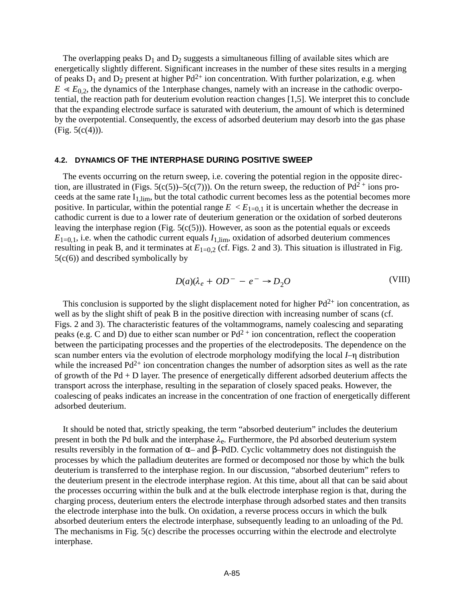The overlapping peaks  $D_1$  and  $D_2$  suggests a simultaneous filling of available sites which are energetically slightly different. Significant increases in the number of these sites results in a merging of peaks  $D_1$  and  $D_2$  present at higher  $Pd^{2+}$  ion concentration. With further polarization, e.g. when  $E \ll E_{0.2}$ , the dynamics of the 1nterphase changes, namely with an increase in the cathodic overpotential, the reaction path for deuterium evolution reaction changes [1,5]. We interpret this to conclude that the expanding electrode surface is saturated with deuterium, the amount of which is determined by the overpotential. Consequently, the excess of adsorbed deuterium may desorb into the gas phase  $(Fig. 5(c(4)))$ .

#### **4.2. DYNAMICS OF THE INTERPHASE DURING POSITIVE SWEEP**

The events occurring on the return sweep, i.e. covering the potential region in the opposite direction, are illustrated in (Figs. 5(c(5))–5(c(7))). On the return sweep, the reduction of  $Pd^{2+}$  ions proceeds at the same rate  $I_{1,lim}$ , but the total cathodic current becomes less as the potential becomes more positive. In particular, within the potential range  $E < E_{1=0,1}$  it is uncertain whether the decrease in cathodic current is due to a lower rate of deuterium generation or the oxidation of sorbed deuterons leaving the interphase region (Fig.  $5(c(5))$ ). However, as soon as the potential equals or exceeds  $E_{1=0,1}$ , i.e. when the cathodic current equals  $I_{1,1}$ <sub>lim</sub>, oxidation of adsorbed deuterium commences resulting in peak B, and it terminates at  $E_{1=0.2}$  (cf. Figs. 2 and 3). This situation is illustrated in Fig.  $5(c(6))$  and described symbolically by

$$
D(a)(\lambda_e + OD^- - e^- \to D_2O \tag{VIII}
$$

This conclusion is supported by the slight displacement noted for higher  $Pd^{2+}$  ion concentration, as well as by the slight shift of peak B in the positive direction with increasing number of scans (cf. Figs. 2 and 3). The characteristic features of the voltammograms, namely coalescing and separating peaks (e.g. C and D) due to either scan number or  $Pd^{2+}$  ion concentration, reflect the cooperation between the participating processes and the properties of the electrodeposits. The dependence on the scan number enters via the evolution of electrode morphology modifying the local *I*– $\eta$  distribution while the increased  $Pd^{2+}$  ion concentration changes the number of adsorption sites as well as the rate of growth of the Pd + D layer. The presence of energetically different adsorbed deuterium affects the transport across the interphase, resulting in the separation of closely spaced peaks. However, the coalescing of peaks indicates an increase in the concentration of one fraction of energetically different adsorbed deuterium.

It should be noted that, strictly speaking, the term "absorbed deuterium" includes the deuterium present in both the Pd bulk and the interphase  $\lambda_e$ . Furthermore, the Pd absorbed deuterium system results reversibly in the formation of α– and β–PdD. Cyclic voltammetry does not distinguish the processes by which the palladium deuterites are formed or decomposed nor those by which the bulk deuterium is transferred to the interphase region. In our discussion, "absorbed deuterium" refers to the deuterium present in the electrode interphase region. At this time, about all that can be said about the processes occurring within the bulk and at the bulk electrode interphase region is that, during the charging process, deuterium enters the electrode interphase through adsorbed states and then transits the electrode interphase into the bulk. On oxidation, a reverse process occurs in which the bulk absorbed deuterium enters the electrode interphase, subsequently leading to an unloading of the Pd. The mechanisms in Fig. 5(c) describe the processes occurring within the electrode and electrolyte interphase.